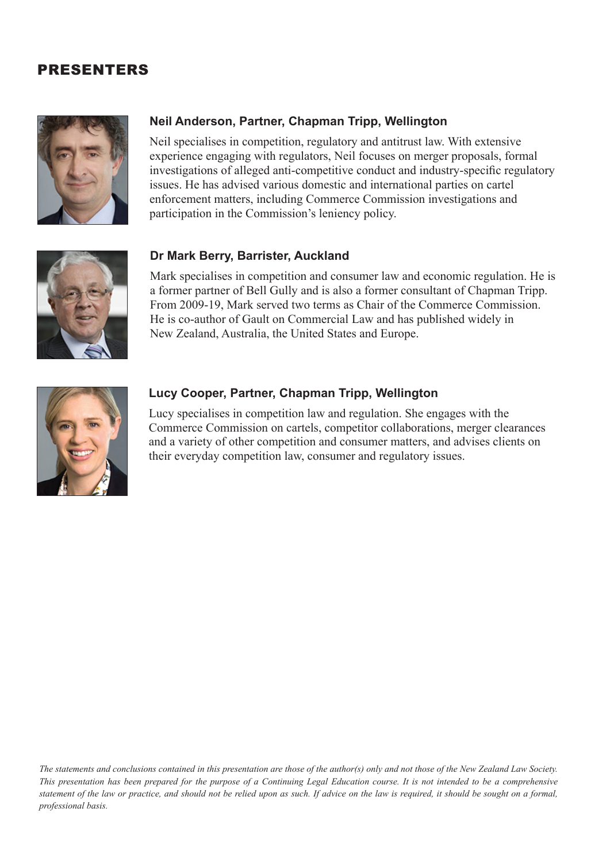## PRESENTERS



### **Neil Anderson, Partner, Chapman Tripp, Wellington**

Neil specialises in competition, regulatory and antitrust law. With extensive experience engaging with regulators, Neil focuses on merger proposals, formal investigations of alleged anti-competitive conduct and industry-specific regulatory issues. He has advised various domestic and international parties on cartel enforcement matters, including Commerce Commission investigations and participation in the Commission's leniency policy.



### **Dr Mark Berry, Barrister, Auckland**

Mark specialises in competition and consumer law and economic regulation. He is a former partner of Bell Gully and is also a former consultant of Chapman Tripp. From 2009-19, Mark served two terms as Chair of the Commerce Commission. He is co-author of Gault on Commercial Law and has published widely in New Zealand, Australia, the United States and Europe.



### **Lucy Cooper, Partner, Chapman Tripp, Wellington**

Lucy specialises in competition law and regulation. She engages with the Commerce Commission on cartels, competitor collaborations, merger clearances and a variety of other competition and consumer matters, and advises clients on their everyday competition law, consumer and regulatory issues.

*The statements and conclusions contained in this presentation are those of the author(s) only and not those of the New Zealand Law Society. This presentation has been prepared for the purpose of a Continuing Legal Education course. It is not intended to be a comprehensive statement of the law or practice, and should not be relied upon as such. If advice on the law is required, it should be sought on a formal, professional basis.*